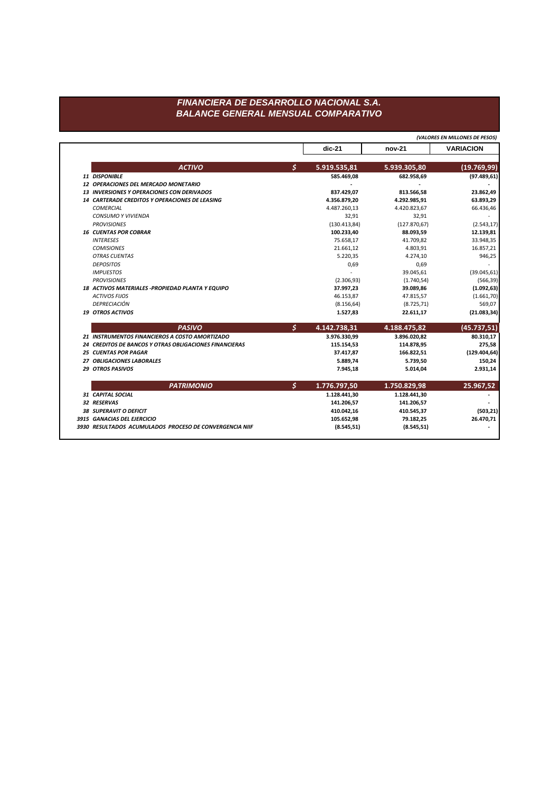## FINANCIERA DE DESARROLLO NACIONAL S.A. **BALANCE GENERAL MENSUAL COMPARATIVO**

|                                                        |    | (VALORES EN MILLONES DE PESOS) |               |                  |
|--------------------------------------------------------|----|--------------------------------|---------------|------------------|
|                                                        |    | $dic-21$                       | nov-21        | <b>VARIACION</b> |
| <b>ACTIVO</b>                                          | Ś. | 5.919.535,81                   | 5.939.305,80  | (19.769, 99)     |
| 11 DISPONIBLE                                          |    | 585.469,08                     | 682.958,69    | (97.489, 61)     |
| 12 OPERACIONES DEL MERCADO MONETARIO                   |    |                                |               |                  |
| <b>13 INVERSIONES Y OPERACIONES CON DERIVADOS</b>      |    | 837.429,07                     | 813.566,58    | 23.862,49        |
| <b>14 CARTERADE CREDITOS Y OPERACIONES DE LEASING</b>  |    | 4.356.879,20                   | 4.292.985,91  | 63.893,29        |
| <b>COMERCIAL</b>                                       |    | 4.487.260,13                   | 4.420.823,67  | 66.436,46        |
| <b>CONSUMO Y VIVIENDA</b>                              |    | 32,91                          | 32,91         |                  |
| <b>PROVISIONES</b>                                     |    | (130.413, 84)                  | (127.870, 67) | (2.543, 17)      |
| <b>16 CUENTAS POR COBRAR</b>                           |    | 100.233,40                     | 88.093,59     | 12.139,81        |
| <b>INTERESES</b>                                       |    | 75.658,17                      | 41.709,82     | 33.948,35        |
| <b>COMISIONES</b>                                      |    | 21.661,12                      | 4.803,91      | 16.857,21        |
| <b>OTRAS CUENTAS</b>                                   |    | 5.220,35                       | 4.274,10      | 946,25           |
| <b>DEPOSITOS</b>                                       |    | 0,69                           | 0,69          |                  |
| <b>IMPUESTOS</b>                                       |    | $\overline{a}$                 | 39.045.61     | (39.045, 61)     |
| <b>PROVISIONES</b>                                     |    | (2.306, 93)                    | (1.740, 54)   | (566, 39)        |
| 18 ACTIVOS MATERIALES - PROPIEDAD PLANTA Y EQUIPO      |    | 37.997,23                      | 39.089,86     | (1.092, 63)      |
| <b>ACTIVOS FIJOS</b>                                   |    | 46.153,87                      | 47.815,57     | (1.661, 70)      |
| DEPRECIACIÓN                                           |    | (8.156, 64)                    | (8.725, 71)   | 569,07           |
| <b>19 OTROS ACTIVOS</b>                                |    | 1.527,83                       | 22.611,17     | (21.083, 34)     |
| <b>PASIVO</b>                                          | Ś. | 4.142.738,31                   | 4.188.475,82  | (45.737, 51)     |
| 21 INSTRUMENTOS FINANCIEROS A COSTO AMORTIZADO         |    | 3.976.330,99                   | 3.896.020,82  | 80.310,17        |
| 24 CREDITOS DE BANCOS Y OTRAS OBLIGACIONES FINANCIERAS |    | 115.154,53                     | 114.878,95    | 275,58           |
| <b>25 CUENTAS POR PAGAR</b>                            |    | 37.417,87                      | 166.822,51    | (129.404, 64)    |
| 27 OBLIGACIONES LABORALES                              |    | 5.889,74                       | 5.739,50      | 150,24           |
| <b>29 OTROS PASIVOS</b>                                |    | 7.945,18                       | 5.014,04      | 2.931,14         |
| <b>PATRIMONIO</b>                                      | \$ | 1.776.797,50                   | 1.750.829,98  | 25.967,52        |
| 31 CAPITAL SOCIAL                                      |    | 1.128.441,30                   | 1.128.441,30  |                  |
| 32 RESERVAS                                            |    | 141.206,57                     | 141.206,57    |                  |
| <b>38 SUPERAVIT O DEFICIT</b>                          |    | 410.042,16                     | 410.545,37    | (503, 21)        |
|                                                        |    |                                |               |                  |
| 3915 GANACIAS DEL EJERCICIO                            |    | 105.652,98                     | 79.182,25     | 26.470,71        |